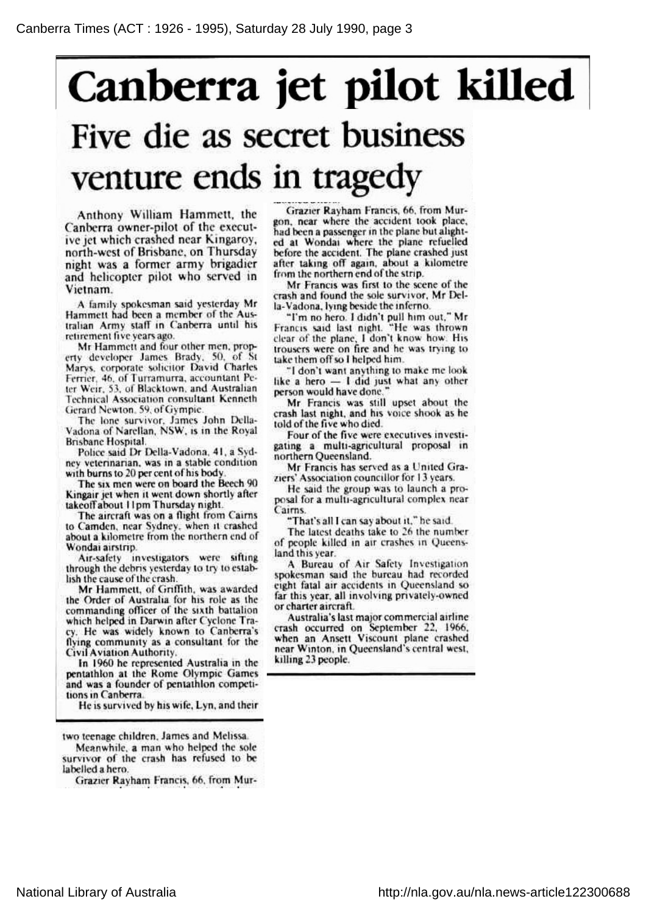## Canberra jet pilot killed Five die as secret business venture ends in tragedy

Anthony William Hammett, the Canberra owner-pilot of the execut ive jet which crashed near Kingaroy, north-west of Brisbane, on Thursday night was <sup>a</sup> former army brigadier and helicopter pilot who served in Vietnam.

A family spokesman said yesterday Mr Hammett had been <sup>a</sup> member of the Aus tralian Army staff in Canberra until his retirement five years ago.

Mr Hammett and four other men, prop erty developer James Brady, 50, of St Marys, corporate solicitor David Charles Ferrier, 46, of Turramurra, accountant Pe ter Weir, 53, of Blacktown, and Australian Technical Association consultant Kenneth Gerard Newton, 59, of Gympie.

The lone survivor, James John Della Vadona of Narcllan, NSW, is in the Royal Brisbane Hospital.

Police said Dr Della-Vadona, 41, <sup>a</sup> Syd ney veterinarian, was in <sup>a</sup> stable condition with burns to 20 per cent of his body.

The six men were on board the Beech 90 Kingair jet when it went down shortly after takeoffabout <sup>11</sup> pm Thursday night.

The aircraft was on <sup>a</sup> flight from Cairns to Camden, near Sydney, when it crashed about <sup>a</sup> kilometre from the northern end of Wondai airstrip.

Air-safety investigators were sifting through the debris yesterday to try to estab lish the cause of the crash.

Mr Hammett, of Griffith, was awarded the Order of Australia for his role as the commanding officer of the sixth battalion which helped in Darwin after Cyclone Tra cy. He was widely known to Canberra's flying community as <sup>a</sup> consultant for the Civil Aviation Authority.

In 1960 he represented Australia in the pentathlon at the Rome Olympic Games and was <sup>a</sup> founder of pentathlon competi tions in Canberra.

He is survived by his wife, Lyn, and their

two teenage children, James and Melissa.

Meanwhile, <sup>a</sup> man who helped the sole survivor of the crash has refused to be labelled a hero.

Grazier Rayham Francis, 66, from Mur

Grazier Rayham Francis, 66, from Mur gon, near where the accident took place, had been <sup>a</sup> passenger in the plane but alight ed at Wondai where the plane refuelled before the accident. The plane crashed just after taking off again, about <sup>a</sup> kilometre from the northern end of the strip.

Mr Francis was first to the scene of the crash and found the sole survivor, Mr Del la-Vadona, lying beside the inferno.

"I'm no hero. I didn't pull him out," M Francis said last night. "He was thrown clear of the plane, <sup>I</sup> don't know how. His trousers were on fire and he was trying to take them off so <sup>I</sup> helped him.

"I don't want anything to make me look like <sup>a</sup> hero — <sup>I</sup> did just what any other person would have done.

Mr Francis was still upset about the crash last night, and his voice shook as he told of the five who died.

Four of the five were executives investi gating a multi-agricultural proposal in northern Queensland.

Mr Francis has served as <sup>a</sup> United Gra ziers' Association councillor for 13 years.

He said the group was to launch <sup>a</sup> pro posal for a multi-agricultural complex near Cairns.

"That's all <sup>I</sup> can say about it," he said.

The latest deaths take to 26 the number of people killed in air crashes in Queens land this year.

A Bureau of Air Safety Investigation spokesman said the bureau had recorded eight fatal air accidents in Queensland so far this year, all involving privately-owned or charter aircraft.

Australia's last major commercial airline crash occurred on September 22, 1966, when an Ansett Viscount plane crashed near Winton, in Queensland's central west, killing 23 people.